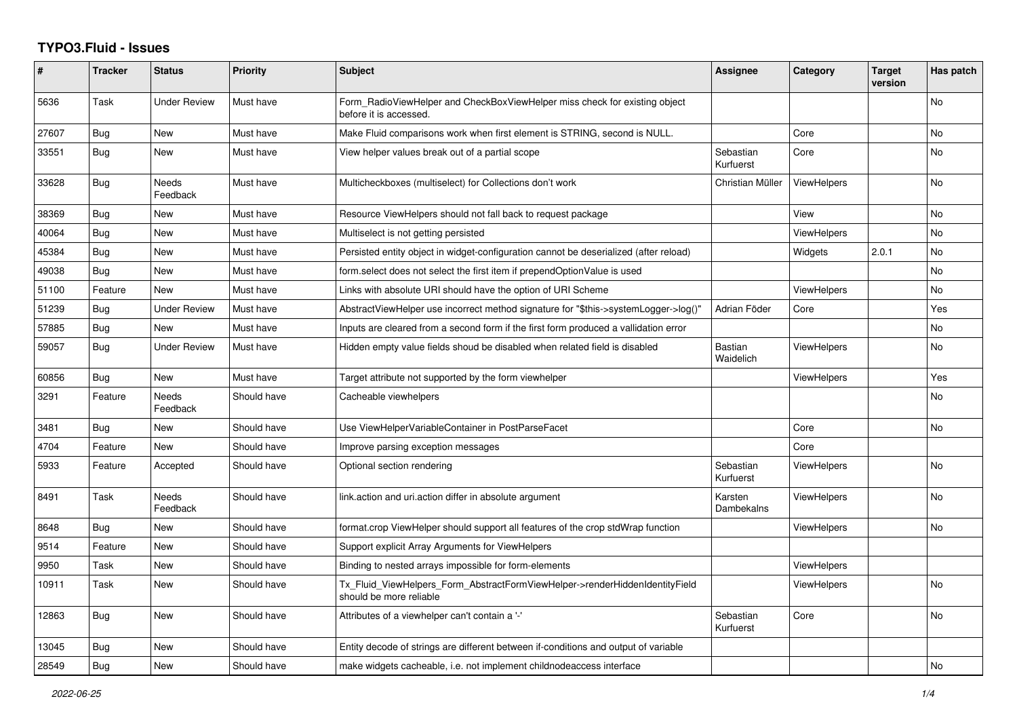## **TYPO3.Fluid - Issues**

| #     | <b>Tracker</b> | <b>Status</b>            | <b>Priority</b> | <b>Subject</b>                                                                                         | <b>Assignee</b>             | Category           | <b>Target</b><br>version | Has patch |
|-------|----------------|--------------------------|-----------------|--------------------------------------------------------------------------------------------------------|-----------------------------|--------------------|--------------------------|-----------|
| 5636  | Task           | Under Review             | Must have       | Form RadioViewHelper and CheckBoxViewHelper miss check for existing object<br>before it is accessed.   |                             |                    |                          | No        |
| 27607 | Bug            | <b>New</b>               | Must have       | Make Fluid comparisons work when first element is STRING, second is NULL.                              |                             | Core               |                          | No        |
| 33551 | Bug            | <b>New</b>               | Must have       | View helper values break out of a partial scope                                                        | Sebastian<br>Kurfuerst      | Core               |                          | <b>No</b> |
| 33628 | <b>Bug</b>     | <b>Needs</b><br>Feedback | Must have       | Multicheckboxes (multiselect) for Collections don't work                                               | Christian Müller            | ViewHelpers        |                          | <b>No</b> |
| 38369 | Bug            | New                      | Must have       | Resource ViewHelpers should not fall back to request package                                           |                             | View               |                          | No        |
| 40064 | Bug            | New                      | Must have       | Multiselect is not getting persisted                                                                   |                             | ViewHelpers        |                          | <b>No</b> |
| 45384 | <b>Bug</b>     | New                      | Must have       | Persisted entity object in widget-configuration cannot be deserialized (after reload)                  |                             | Widgets            | 2.0.1                    | <b>No</b> |
| 49038 | Bug            | New                      | Must have       | form.select does not select the first item if prependOptionValue is used                               |                             |                    |                          | No        |
| 51100 | Feature        | <b>New</b>               | Must have       | Links with absolute URI should have the option of URI Scheme                                           |                             | <b>ViewHelpers</b> |                          | No        |
| 51239 | <b>Bug</b>     | Under Review             | Must have       | AbstractViewHelper use incorrect method signature for "\$this->systemLogger->log()"                    | Adrian Föder                | Core               |                          | Yes       |
| 57885 | <b>Bug</b>     | New                      | Must have       | Inputs are cleared from a second form if the first form produced a vallidation error                   |                             |                    |                          | No        |
| 59057 | Bug            | <b>Under Review</b>      | Must have       | Hidden empty value fields shoud be disabled when related field is disabled                             | <b>Bastian</b><br>Waidelich | <b>ViewHelpers</b> |                          | No        |
| 60856 | <b>Bug</b>     | <b>New</b>               | Must have       | Target attribute not supported by the form viewhelper                                                  |                             | <b>ViewHelpers</b> |                          | Yes       |
| 3291  | Feature        | Needs<br>Feedback        | Should have     | Cacheable viewhelpers                                                                                  |                             |                    |                          | <b>No</b> |
| 3481  | Bug            | New                      | Should have     | Use ViewHelperVariableContainer in PostParseFacet                                                      |                             | Core               |                          | <b>No</b> |
| 4704  | Feature        | New                      | Should have     | Improve parsing exception messages                                                                     |                             | Core               |                          |           |
| 5933  | Feature        | Accepted                 | Should have     | Optional section rendering                                                                             | Sebastian<br>Kurfuerst      | ViewHelpers        |                          | <b>No</b> |
| 8491  | Task           | Needs<br>Feedback        | Should have     | link.action and uri.action differ in absolute argument                                                 | Karsten<br>Dambekalns       | <b>ViewHelpers</b> |                          | <b>No</b> |
| 8648  | Bug            | New                      | Should have     | format.crop ViewHelper should support all features of the crop stdWrap function                        |                             | <b>ViewHelpers</b> |                          | <b>No</b> |
| 9514  | Feature        | <b>New</b>               | Should have     | Support explicit Array Arguments for ViewHelpers                                                       |                             |                    |                          |           |
| 9950  | Task           | New                      | Should have     | Binding to nested arrays impossible for form-elements                                                  |                             | ViewHelpers        |                          |           |
| 10911 | Task           | New                      | Should have     | Tx Fluid ViewHelpers Form AbstractFormViewHelper->renderHiddenIdentityField<br>should be more reliable |                             | <b>ViewHelpers</b> |                          | <b>No</b> |
| 12863 | Bug            | New                      | Should have     | Attributes of a viewhelper can't contain a '-'                                                         | Sebastian<br>Kurfuerst      | Core               |                          | No        |
| 13045 | <b>Bug</b>     | New                      | Should have     | Entity decode of strings are different between if-conditions and output of variable                    |                             |                    |                          |           |
| 28549 | <b>Bug</b>     | New                      | Should have     | make widgets cacheable, i.e. not implement childnodeaccess interface                                   |                             |                    |                          | No        |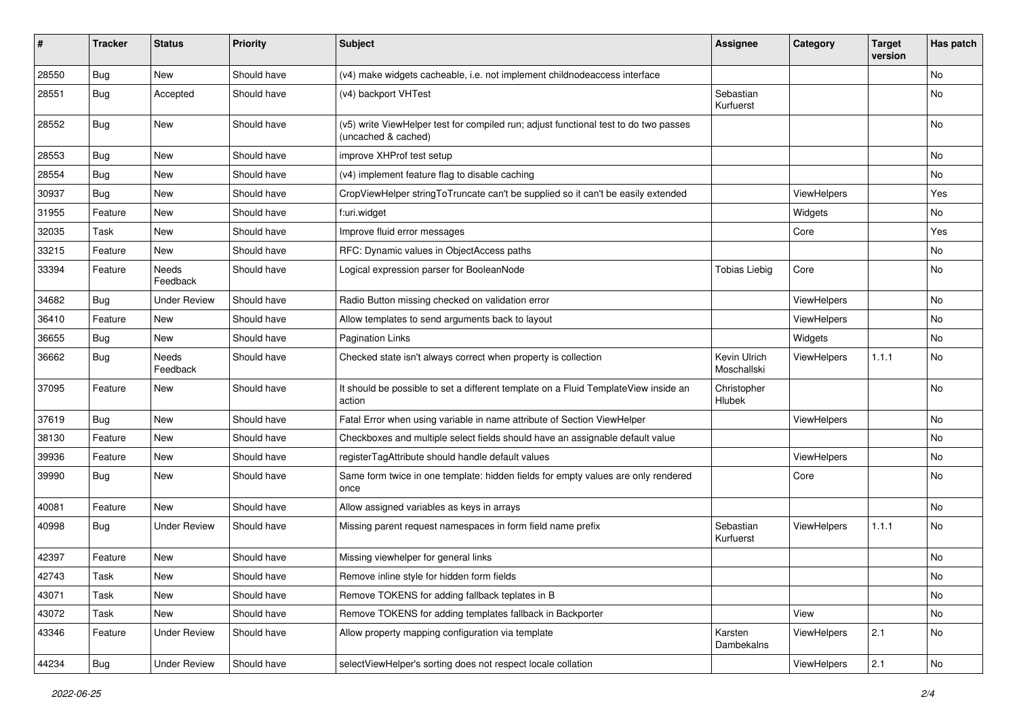| #     | <b>Tracker</b> | <b>Status</b>            | <b>Priority</b> | <b>Subject</b>                                                                                              | <b>Assignee</b>             | Category    | <b>Target</b><br>version | Has patch     |
|-------|----------------|--------------------------|-----------------|-------------------------------------------------------------------------------------------------------------|-----------------------------|-------------|--------------------------|---------------|
| 28550 | Bug            | <b>New</b>               | Should have     | (v4) make widgets cacheable, i.e. not implement childnodeaccess interface                                   |                             |             |                          | No            |
| 28551 | Bug            | Accepted                 | Should have     | (v4) backport VHTest                                                                                        | Sebastian<br>Kurfuerst      |             |                          | No            |
| 28552 | Bug            | <b>New</b>               | Should have     | (v5) write ViewHelper test for compiled run; adjust functional test to do two passes<br>(uncached & cached) |                             |             |                          | <b>No</b>     |
| 28553 | Bug            | <b>New</b>               | Should have     | improve XHProf test setup                                                                                   |                             |             |                          | <b>No</b>     |
| 28554 | Bug            | New                      | Should have     | (v4) implement feature flag to disable caching                                                              |                             |             |                          | No            |
| 30937 | Bug            | New                      | Should have     | CropViewHelper stringToTruncate can't be supplied so it can't be easily extended                            |                             | ViewHelpers |                          | Yes           |
| 31955 | Feature        | New                      | Should have     | f:uri.widget                                                                                                |                             | Widgets     |                          | No            |
| 32035 | Task           | New                      | Should have     | Improve fluid error messages                                                                                |                             | Core        |                          | Yes           |
| 33215 | Feature        | New                      | Should have     | RFC: Dynamic values in ObjectAccess paths                                                                   |                             |             |                          | No            |
| 33394 | Feature        | <b>Needs</b><br>Feedback | Should have     | Logical expression parser for BooleanNode                                                                   | <b>Tobias Liebig</b>        | Core        |                          | No            |
| 34682 | Bug            | <b>Under Review</b>      | Should have     | Radio Button missing checked on validation error                                                            |                             | ViewHelpers |                          | <b>No</b>     |
| 36410 | Feature        | New                      | Should have     | Allow templates to send arguments back to layout                                                            |                             | ViewHelpers |                          | No            |
| 36655 | Bug            | New                      | Should have     | <b>Pagination Links</b>                                                                                     |                             | Widgets     |                          | No            |
| 36662 | <b>Bug</b>     | Needs<br>Feedback        | Should have     | Checked state isn't always correct when property is collection                                              | Kevin Ulrich<br>Moschallski | ViewHelpers | 1.1.1                    | No            |
| 37095 | Feature        | New                      | Should have     | It should be possible to set a different template on a Fluid TemplateView inside an<br>action               | Christopher<br>Hlubek       |             |                          | No            |
| 37619 | Bug            | New                      | Should have     | Fatal Error when using variable in name attribute of Section ViewHelper                                     |                             | ViewHelpers |                          | No            |
| 38130 | Feature        | New                      | Should have     | Checkboxes and multiple select fields should have an assignable default value                               |                             |             |                          | <b>No</b>     |
| 39936 | Feature        | New                      | Should have     | registerTagAttribute should handle default values                                                           |                             | ViewHelpers |                          | No            |
| 39990 | Bug            | New                      | Should have     | Same form twice in one template: hidden fields for empty values are only rendered<br>once                   |                             | Core        |                          | <b>No</b>     |
| 40081 | Feature        | New                      | Should have     | Allow assigned variables as keys in arrays                                                                  |                             |             |                          | <b>No</b>     |
| 40998 | Bug            | <b>Under Review</b>      | Should have     | Missing parent request namespaces in form field name prefix                                                 | Sebastian<br>Kurfuerst      | ViewHelpers | 1.1.1                    | No            |
| 42397 | Feature        | New                      | Should have     | Missing viewhelper for general links                                                                        |                             |             |                          | No            |
| 42743 | Task           | New                      | Should have     | Remove inline style for hidden form fields                                                                  |                             |             |                          | $\mathsf{No}$ |
| 43071 | Task           | New                      | Should have     | Remove TOKENS for adding fallback teplates in B                                                             |                             |             |                          | No            |
| 43072 | Task           | New                      | Should have     | Remove TOKENS for adding templates fallback in Backporter                                                   |                             | View        |                          | No            |
| 43346 | Feature        | <b>Under Review</b>      | Should have     | Allow property mapping configuration via template                                                           | Karsten<br>Dambekalns       | ViewHelpers | 2.1                      | No            |
| 44234 | <b>Bug</b>     | <b>Under Review</b>      | Should have     | selectViewHelper's sorting does not respect locale collation                                                |                             | ViewHelpers | 2.1                      | $\mathsf{No}$ |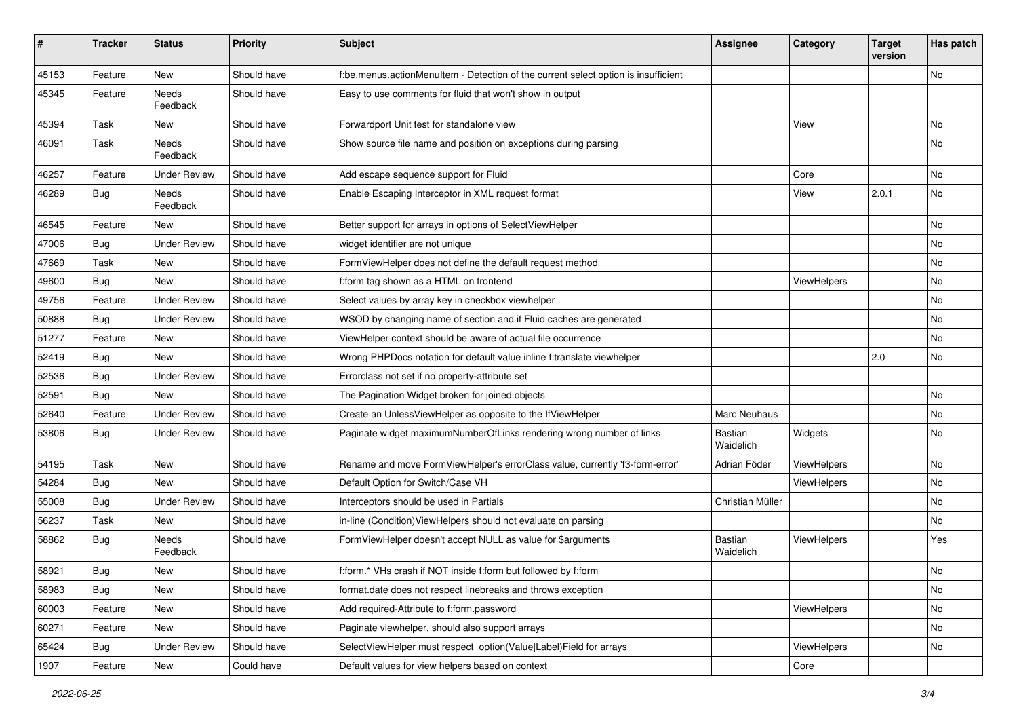| ∦     | <b>Tracker</b> | <b>Status</b>            | <b>Priority</b> | <b>Subject</b>                                                                     | <b>Assignee</b>      | Category           | <b>Target</b><br>version | Has patch |
|-------|----------------|--------------------------|-----------------|------------------------------------------------------------------------------------|----------------------|--------------------|--------------------------|-----------|
| 45153 | Feature        | New                      | Should have     | f:be.menus.actionMenuItem - Detection of the current select option is insufficient |                      |                    |                          | No        |
| 45345 | Feature        | <b>Needs</b><br>Feedback | Should have     | Easy to use comments for fluid that won't show in output                           |                      |                    |                          |           |
| 45394 | Task           | New                      | Should have     | Forwardport Unit test for standalone view                                          |                      | View               |                          | No        |
| 46091 | Task           | Needs<br>Feedback        | Should have     | Show source file name and position on exceptions during parsing                    |                      |                    |                          | No        |
| 46257 | Feature        | <b>Under Review</b>      | Should have     | Add escape sequence support for Fluid                                              |                      | Core               |                          | No        |
| 46289 | Bug            | Needs<br>Feedback        | Should have     | Enable Escaping Interceptor in XML request format                                  |                      | View               | 2.0.1                    | No        |
| 46545 | Feature        | New                      | Should have     | Better support for arrays in options of SelectViewHelper                           |                      |                    |                          | No        |
| 47006 | Bug            | <b>Under Review</b>      | Should have     | widget identifier are not unique                                                   |                      |                    |                          | No        |
| 47669 | Task           | <b>New</b>               | Should have     | FormViewHelper does not define the default request method                          |                      |                    |                          | No        |
| 49600 | Bug            | New                      | Should have     | f:form tag shown as a HTML on frontend                                             |                      | <b>ViewHelpers</b> |                          | No        |
| 49756 | Feature        | <b>Under Review</b>      | Should have     | Select values by array key in checkbox viewhelper                                  |                      |                    |                          | No.       |
| 50888 | Bug            | <b>Under Review</b>      | Should have     | WSOD by changing name of section and if Fluid caches are generated                 |                      |                    |                          | No        |
| 51277 | Feature        | New                      | Should have     | ViewHelper context should be aware of actual file occurrence                       |                      |                    |                          | No        |
| 52419 | Bug            | <b>New</b>               | Should have     | Wrong PHPDocs notation for default value inline f:translate viewhelper             |                      |                    | 2.0                      | No        |
| 52536 | Bug            | <b>Under Review</b>      | Should have     | Errorclass not set if no property-attribute set                                    |                      |                    |                          |           |
| 52591 | Bug            | New                      | Should have     | The Pagination Widget broken for joined objects                                    |                      |                    |                          | No        |
| 52640 | Feature        | <b>Under Review</b>      | Should have     | Create an UnlessViewHelper as opposite to the IfViewHelper                         | <b>Marc Neuhaus</b>  |                    |                          | No        |
| 53806 | Bug            | <b>Under Review</b>      | Should have     | Paginate widget maximumNumberOfLinks rendering wrong number of links               | Bastian<br>Waidelich | Widgets            |                          | No        |
| 54195 | Task           | New                      | Should have     | Rename and move FormViewHelper's errorClass value, currently 'f3-form-error'       | Adrian Föder         | ViewHelpers        |                          | No        |
| 54284 | Bug            | New                      | Should have     | Default Option for Switch/Case VH                                                  |                      | ViewHelpers        |                          | No        |
| 55008 | Bug            | <b>Under Review</b>      | Should have     | Interceptors should be used in Partials                                            | Christian Müller     |                    |                          | No        |
| 56237 | Task           | New                      | Should have     | in-line (Condition) View Helpers should not evaluate on parsing                    |                      |                    |                          | No        |
| 58862 | Bug            | <b>Needs</b><br>Feedback | Should have     | FormViewHelper doesn't accept NULL as value for \$arguments                        | Bastian<br>Waidelich | ViewHelpers        |                          | Yes       |
| 58921 | Bug            | New                      | Should have     | f:form.* VHs crash if NOT inside f:form but followed by f:form                     |                      |                    |                          | No        |
| 58983 | <b>Bug</b>     | New                      | Should have     | format.date does not respect linebreaks and throws exception                       |                      |                    |                          | No        |
| 60003 | Feature        | New                      | Should have     | Add required-Attribute to f:form.password                                          |                      | ViewHelpers        |                          | No        |
| 60271 | Feature        | New                      | Should have     | Paginate viewhelper, should also support arrays                                    |                      |                    |                          | No        |
| 65424 | Bug            | <b>Under Review</b>      | Should have     | SelectViewHelper must respect option(Value Label)Field for arrays                  |                      | ViewHelpers        |                          | No        |
| 1907  | Feature        | New                      | Could have      | Default values for view helpers based on context                                   |                      | Core               |                          |           |